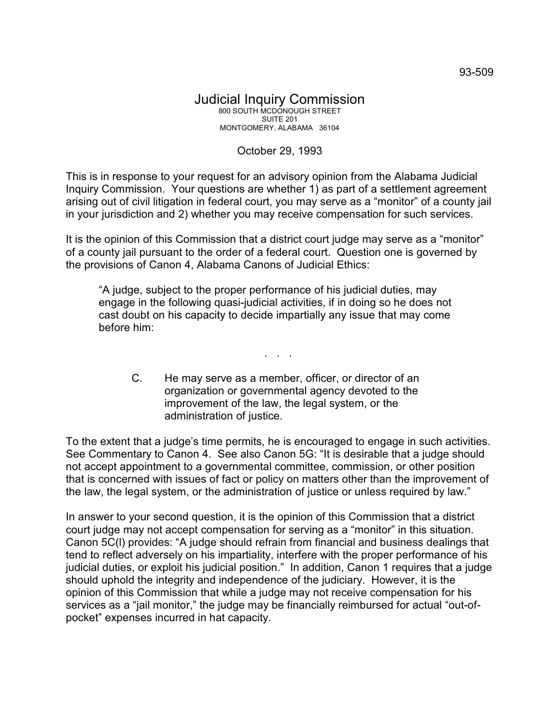## Judicial Inquiry Commission 800 SOUTH MCDONOUGH STREET SUITE 201 MONTGOMERY, ALABAMA 36104

## October 29, 1993

This is in response to your request for an advisory opinion from the Alabama Judicial Inquiry Commission. Your questions are whether 1) as part of a settlement agreement arising out of civil litigation in federal court, you may serve as a "monitor" of a county jail in your jurisdiction and 2) whether you may receive compensation for such services.

It is the opinion of this Commission that a district court judge may serve as a "monitor" of a county jail pursuant to the order of a federal court. Question one is governed by the provisions of Canon 4, Alabama Canons of Judicial Ethics:

"A judge, subject to the proper performance of his judicial duties, may engage in the following quasi-judicial activities, if in doing so he does not cast doubt on his capacity to decide impartially any issue that may come before him:

C. He may serve as a member, officer, or director of an organization or governmental agency devoted to the improvement of the law, the legal system, or the administration of justice.

. . .

To the extent that a judge's time permits, he is encouraged to engage in such activities. See Commentary to Canon 4. See also Canon 5G: "It is desirable that a judge should not accept appointment to a governmental committee, commission, or other position that is concerned with issues of fact or policy on matters other than the improvement of the law, the legal system, or the administration of justice or unless required by law."

In answer to your second question, it is the opinion of this Commission that a district court judge may not accept compensation for serving as a "monitor" in this situation. Canon 5C(l) provides: "A judge should refrain from financial and business dealings that tend to reflect adversely on his impartiality, interfere with the proper performance of his judicial duties, or exploit his judicial position." In addition, Canon 1 requires that a judge should uphold the integrity and independence of the judiciary. However, it is the opinion of this Commission that while a judge may not receive compensation for his services as a "jail monitor," the judge may be financially reimbursed for actual "out-ofpocket" expenses incurred in hat capacity.